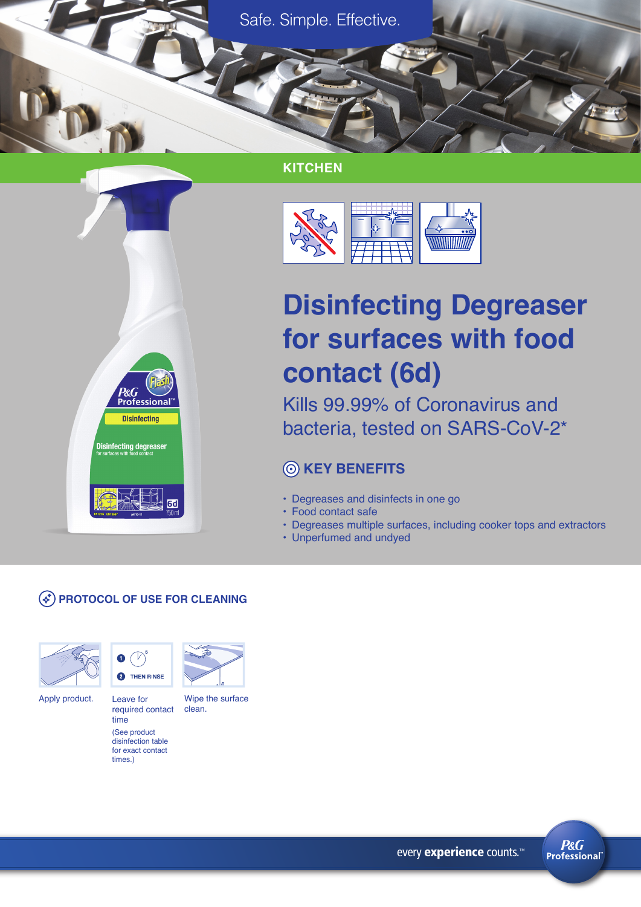Safe. Simple. Effective.

## **KITCHEN**



# **Disinfecting Degreaser for surfaces with food contact (6d)**

Kills 99.99% of Coronavirus and bacteria, tested on SARS-CoV-2\*

# **KEY BENEFITS**

- Degreases and disinfects in one go
- Food contact safe
- Degreases multiple surfaces, including cooker tops and extractors
- Unperfumed and undyed

#### **PROTOCOL OF USE FOR CLEANING**

P&G

**Disinfecting degreaser** 

**Disinfecting** 





Leave for required contact time (See product

disinfection table for exact contact times.)



clean.

**P&G Professional** 

every experience counts.<sup>™</sup>